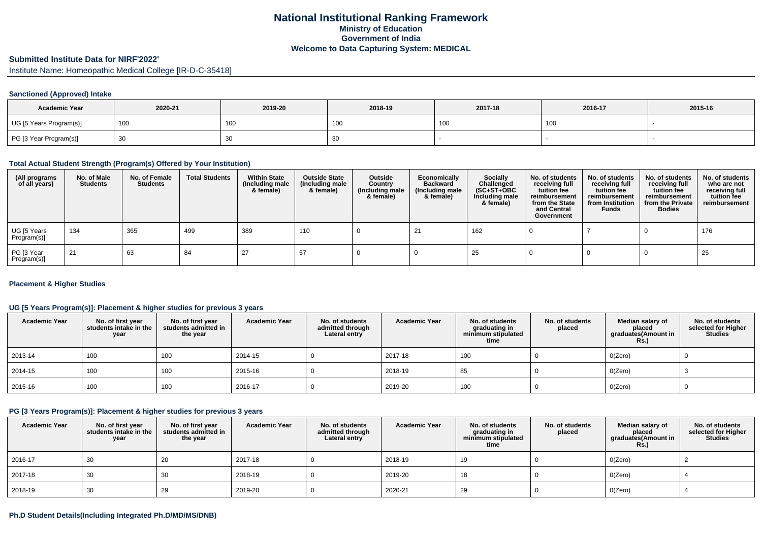### **Submitted Institute Data for NIRF'2022'**

Institute Name: Homeopathic Medical College [IR-D-C-35418]

#### **Sanctioned (Approved) Intake**

| <b>Academic Year</b>    | 2020-21 | 2019-20 | 2018-19 | 2017-18 | 2016-17 | 2015-16 |
|-------------------------|---------|---------|---------|---------|---------|---------|
| UG [5 Years Program(s)] | 100     | 100     | , UU    | 100     | 100     |         |
| PG [3 Year Program(s)]  | ັບບ     | 30      | ັບເ     |         |         |         |

### **Total Actual Student Strength (Program(s) Offered by Your Institution)**

| (All programs<br>of all years) | No. of Male<br><b>Students</b> | No. of Female<br>Students | <b>Total Students</b> | <b>Within State</b><br>(Including male<br>& female) | <b>Outside State</b><br>(Including male<br>& female) | Outside<br>Country<br>(Including male<br>& female) | Economically<br><b>Backward</b><br>(Including male<br>& female) | <b>Socially</b><br>Challenged<br>$(SC+ST+OBC)$<br>Including male<br>& female) | No. of students<br>receiving full<br>tuition fee<br>reimbursement<br>from the State<br>and Central<br>Government | No. of students<br>receiving full<br>tuition fee<br>reimbursement<br>from Institution<br><b>Funds</b> | No. of students<br>receiving full<br>tuition fee<br>reimbursement<br>from the Private<br><b>Bodies</b> | No. of students<br>who are not<br>receiving full<br>tuition fee<br>reimbursement |
|--------------------------------|--------------------------------|---------------------------|-----------------------|-----------------------------------------------------|------------------------------------------------------|----------------------------------------------------|-----------------------------------------------------------------|-------------------------------------------------------------------------------|------------------------------------------------------------------------------------------------------------------|-------------------------------------------------------------------------------------------------------|--------------------------------------------------------------------------------------------------------|----------------------------------------------------------------------------------|
| UG [5 Years<br>Program(s)]     | 134                            | 365                       | 499                   | 389                                                 | 110                                                  |                                                    | -21                                                             | 162                                                                           |                                                                                                                  |                                                                                                       |                                                                                                        | 176                                                                              |
| PG [3 Year<br>Program(s)]      | 21                             | 63                        | 84                    | 27                                                  | 57                                                   |                                                    |                                                                 | 25                                                                            |                                                                                                                  |                                                                                                       |                                                                                                        | 25                                                                               |

#### **Placement & Higher Studies**

## **UG [5 Years Program(s)]: Placement & higher studies for previous 3 years**

| <b>Academic Year</b> | No. of first year<br>students intake in the<br>year | No. of first year<br>students admitted in<br>the year | <b>Academic Year</b> | No. of students<br>admitted through<br>Lateral entry | <b>Academic Year</b> | No. of students<br>graduating in<br>minimum stipulated<br>time | No. of students<br>placed | Median salary of<br>placed<br>graduates(Amount in<br><b>Rs.)</b> | No. of students<br>selected for Higher<br><b>Studies</b> |
|----------------------|-----------------------------------------------------|-------------------------------------------------------|----------------------|------------------------------------------------------|----------------------|----------------------------------------------------------------|---------------------------|------------------------------------------------------------------|----------------------------------------------------------|
| 2013-14              | 100                                                 | 100                                                   | 2014-15              |                                                      | 2017-18              | 100                                                            |                           | O(Zero)                                                          |                                                          |
| 2014-15              | 100                                                 | 100                                                   | 2015-16              |                                                      | 2018-19              | 85                                                             |                           | O(Zero)                                                          |                                                          |
| 2015-16              | 100                                                 | 100                                                   | 2016-17              |                                                      | 2019-20              | 100                                                            |                           | O(Zero)                                                          | υ                                                        |

#### **PG [3 Years Program(s)]: Placement & higher studies for previous 3 years**

| <b>Academic Year</b> | No. of first year<br>students intake in the<br>year | No. of first year<br>students admitted in<br>the year | <b>Academic Year</b> | No. of students<br>admitted through<br>Lateral entry | <b>Academic Year</b> | No. of students<br>graduating in<br>minimum stipulated<br>time | No. of students<br>placed | Median salary of<br>placed<br>graduates(Amount in<br><b>Rs.)</b> | No. of students<br>selected for Higher<br><b>Studies</b> |
|----------------------|-----------------------------------------------------|-------------------------------------------------------|----------------------|------------------------------------------------------|----------------------|----------------------------------------------------------------|---------------------------|------------------------------------------------------------------|----------------------------------------------------------|
| 2016-17              | 30                                                  | 20                                                    | 2017-18              |                                                      | 2018-19              | 19                                                             |                           | O(Zero)                                                          |                                                          |
| 2017-18              | 30                                                  | 30                                                    | 2018-19              |                                                      | 2019-20              | 18                                                             |                           | O(Zero)                                                          |                                                          |
| 2018-19              | 30                                                  | 29                                                    | 2019-20              |                                                      | 2020-21              | -29                                                            |                           | O(Zero)                                                          |                                                          |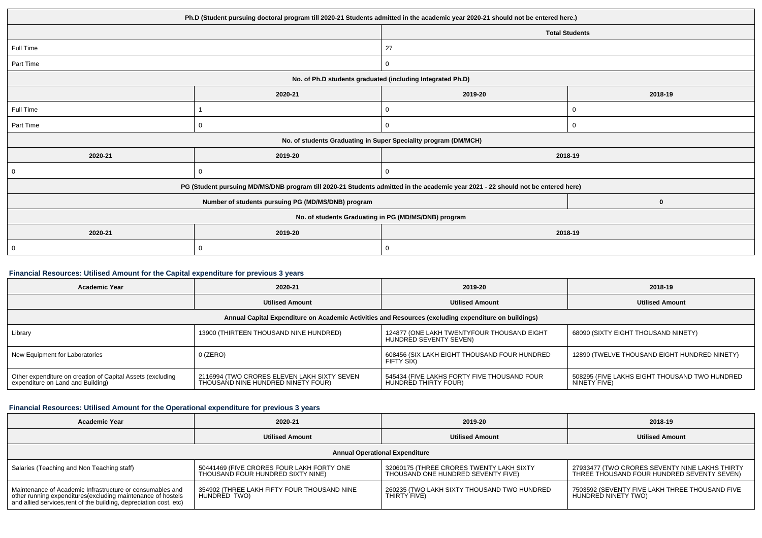| Ph.D (Student pursuing doctoral program till 2020-21 Students admitted in the academic year 2020-21 should not be entered here.) |                       |                                                                                                                                                                                                                                                                   |  |  |  |
|----------------------------------------------------------------------------------------------------------------------------------|-----------------------|-------------------------------------------------------------------------------------------------------------------------------------------------------------------------------------------------------------------------------------------------------------------|--|--|--|
|                                                                                                                                  | <b>Total Students</b> |                                                                                                                                                                                                                                                                   |  |  |  |
|                                                                                                                                  | 27                    |                                                                                                                                                                                                                                                                   |  |  |  |
|                                                                                                                                  | 0                     |                                                                                                                                                                                                                                                                   |  |  |  |
|                                                                                                                                  |                       |                                                                                                                                                                                                                                                                   |  |  |  |
| 2020-21                                                                                                                          | 2019-20               | 2018-19                                                                                                                                                                                                                                                           |  |  |  |
|                                                                                                                                  | 0                     | 0                                                                                                                                                                                                                                                                 |  |  |  |
| 0                                                                                                                                | $\mathbf 0$           | $\mathbf 0$                                                                                                                                                                                                                                                       |  |  |  |
|                                                                                                                                  |                       |                                                                                                                                                                                                                                                                   |  |  |  |
| 2019-20                                                                                                                          |                       | 2018-19                                                                                                                                                                                                                                                           |  |  |  |
| $\mathbf 0$                                                                                                                      | 0                     |                                                                                                                                                                                                                                                                   |  |  |  |
|                                                                                                                                  |                       |                                                                                                                                                                                                                                                                   |  |  |  |
| Number of students pursuing PG (MD/MS/DNB) program<br>$\bf{0}$                                                                   |                       |                                                                                                                                                                                                                                                                   |  |  |  |
| No. of students Graduating in PG (MD/MS/DNB) program                                                                             |                       |                                                                                                                                                                                                                                                                   |  |  |  |
| 2019-20                                                                                                                          | 2018-19               |                                                                                                                                                                                                                                                                   |  |  |  |
| 0                                                                                                                                | 0                     |                                                                                                                                                                                                                                                                   |  |  |  |
|                                                                                                                                  |                       | No. of Ph.D students graduated (including Integrated Ph.D)<br>No. of students Graduating in Super Speciality program (DM/MCH)<br>PG (Student pursuing MD/MS/DNB program till 2020-21 Students admitted in the academic year 2021 - 22 should not be entered here) |  |  |  |

# **Financial Resources: Utilised Amount for the Capital expenditure for previous 3 years**

| Academic Year                                                                                        | 2020-21                                                                           | 2019-20                                                              | 2018-19                                                       |  |  |  |  |
|------------------------------------------------------------------------------------------------------|-----------------------------------------------------------------------------------|----------------------------------------------------------------------|---------------------------------------------------------------|--|--|--|--|
|                                                                                                      | <b>Utilised Amount</b>                                                            | <b>Utilised Amount</b>                                               | <b>Utilised Amount</b>                                        |  |  |  |  |
| Annual Capital Expenditure on Academic Activities and Resources (excluding expenditure on buildings) |                                                                                   |                                                                      |                                                               |  |  |  |  |
| Library                                                                                              | 13900 (THIRTEEN THOUSAND NINE HUNDRED)                                            | 124877 (ONE LAKH TWENTYFOUR THOUSAND EIGHT<br>HUNDRED SEVENTY SEVEN) | 68090 (SIXTY EIGHT THOUSAND NINETY)                           |  |  |  |  |
| New Equipment for Laboratories                                                                       | $0$ (ZERO)                                                                        | 608456 (SIX LAKH EIGHT THOUSAND FOUR HUNDRED<br>FIFTY SIX)           | 12890 (TWELVE THOUSAND EIGHT HUNDRED NINETY)                  |  |  |  |  |
| Other expenditure on creation of Capital Assets (excluding<br>expenditure on Land and Building)      | 2116994 (TWO CRORES ELEVEN LAKH SIXTY SEVEN<br>THOUSAND NINE HUNDRED NINETY FOUR) | 545434 (FIVE LAKHS FORTY FIVE THOUSAND FOUR<br>HUNDRÈD THIRTY FOUR)  | 508295 (FIVE LAKHS EIGHT THOUSAND TWO HUNDRED<br>NINETY FIVE) |  |  |  |  |

# **Financial Resources: Utilised Amount for the Operational expenditure for previous 3 years**

| <b>Academic Year</b>                                                                                                                                                                            | 2020-21                                                                        | 2019-20                                                                        | 2018-19                                                                                      |  |  |  |
|-------------------------------------------------------------------------------------------------------------------------------------------------------------------------------------------------|--------------------------------------------------------------------------------|--------------------------------------------------------------------------------|----------------------------------------------------------------------------------------------|--|--|--|
|                                                                                                                                                                                                 | <b>Utilised Amount</b>                                                         | <b>Utilised Amount</b>                                                         | <b>Utilised Amount</b>                                                                       |  |  |  |
| <b>Annual Operational Expenditure</b>                                                                                                                                                           |                                                                                |                                                                                |                                                                                              |  |  |  |
| Salaries (Teaching and Non Teaching staff)                                                                                                                                                      | 50441469 (FIVE CRORES FOUR LAKH FORTY ONE<br>THOUSAND FOUR HUNDRED SIXTY NINE) | 32060175 (THREE CRORES TWENTY LAKH SIXTY<br>THOUSAND ONE HUNDRED SEVENTY FIVE) | 27933477 (TWO CRORES SEVENTY NINE LAKHS THIRTY<br>THREE THOUSAND FOUR HUNDRED SEVENTY SEVEN) |  |  |  |
| Maintenance of Academic Infrastructure or consumables and<br>other running expenditures (excluding maintenance of hostels<br>and allied services, rent of the building, depreciation cost, etc) | 354902 (THREE LAKH FIFTY FOUR THOUSAND NINE<br>HUNDRED TWO)                    | 260235 (TWO LAKH SIXTY THOUSAND TWO HUNDRED<br>THIRTY FIVE)                    | 7503592 (SEVENTY FIVE LAKH THREE THOUSAND FIVE<br>HUNDRED NINETY TWO)                        |  |  |  |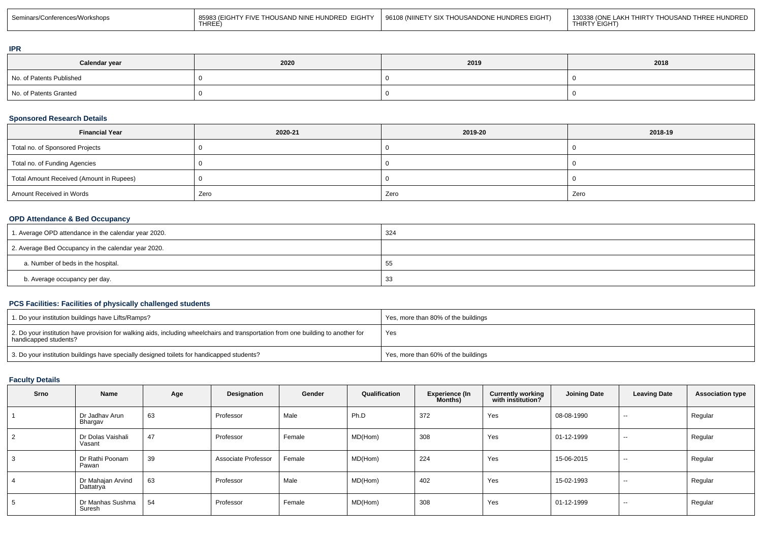| Seminars/Cor<br><sup>^</sup> ^Vorkshops | UNDRED EIGHTY<br>THOUSAND NINE H<br>TV FIV.<br>… (FIGHT <sup>V</sup><br><b>THREI</b> | EIGHT)<br>UNDRES<br>96108 (NIINET<br>TY SIX TH( | THOUSAND THREE HUNDRED<br>0338 (ONF<br>$\ldots$ FHIRTY .<br>JDRED.<br>∃GH. |
|-----------------------------------------|--------------------------------------------------------------------------------------|-------------------------------------------------|----------------------------------------------------------------------------|
|-----------------------------------------|--------------------------------------------------------------------------------------|-------------------------------------------------|----------------------------------------------------------------------------|

## **IPR**

| Calendar year            | 2020 | 2019 | 2018 |
|--------------------------|------|------|------|
| No. of Patents Published |      |      |      |
| No. of Patents Granted   |      |      |      |

## **Sponsored Research Details**

| <b>Financial Year</b>                    | 2020-21 | 2019-20 | 2018-19 |
|------------------------------------------|---------|---------|---------|
| Total no. of Sponsored Projects          |         |         |         |
| Total no. of Funding Agencies            |         |         |         |
| Total Amount Received (Amount in Rupees) |         |         |         |
| Amount Received in Words                 | Zero    | Zero    | Zero    |

# **OPD Attendance & Bed Occupancy**

| 1. Average OPD attendance in the calendar year 2020. | 324 |
|------------------------------------------------------|-----|
| 2. Average Bed Occupancy in the calendar year 2020.  |     |
| a. Number of beds in the hospital.                   | 55  |
| b. Average occupancy per day.                        | 33  |

## **PCS Facilities: Facilities of physically challenged students**

| 1. Do your institution buildings have Lifts/Ramps?                                                                                                           | Yes, more than 80% of the buildings |
|--------------------------------------------------------------------------------------------------------------------------------------------------------------|-------------------------------------|
| 2. Do your institution have provision for walking aids, including wheelchairs and transportation from one building to another for<br>  handicapped students? | Yes                                 |
| 3. Do your institution buildings have specially designed toilets for handicapped students?                                                                   | Yes, more than 60% of the buildings |

## **Faculty Details**

| Srno | <b>Name</b>                    | Age | Designation         | Gender | Qualification | <b>Experience (In</b><br><b>Months</b> ) | <b>Currently working</b><br>with institution? | <b>Joining Date</b> | <b>Leaving Date</b> | <b>Association type</b> |
|------|--------------------------------|-----|---------------------|--------|---------------|------------------------------------------|-----------------------------------------------|---------------------|---------------------|-------------------------|
|      | Dr Jadhav Arun<br>Bhargav      | 63  | Professor           | Male   | Ph.D          | 372                                      | Yes                                           | 08-08-1990          | $\sim$              | Regular                 |
| 2    | Dr Dolas Vaishali<br>Vasant    | 47  | Professor           | Female | MD(Hom)       | 308                                      | Yes                                           | 01-12-1999          | $\sim$              | Regular                 |
| 3    | Dr Rathi Poonam<br>Pawan       | 39  | Associate Professor | Female | MD(Hom)       | 224                                      | Yes                                           | 15-06-2015          | $- -$               | Regular                 |
| 4    | Dr Mahajan Arvind<br>Dattatrya | 63  | Professor           | Male   | MD(Hom)       | 402                                      | Yes                                           | 15-02-1993          | $- -$               | Regular                 |
| 5    | Dr Manhas Sushma<br>Suresh     | 54  | Professor           | Female | MD(Hom)       | 308                                      | Yes                                           | 01-12-1999          | $- -$               | Regular                 |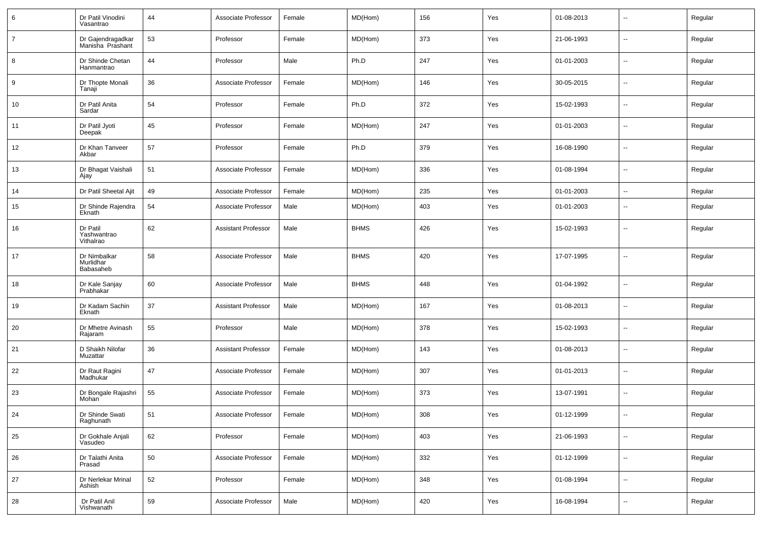| 6              | Dr Patil Vinodini<br>Vasantrao         | 44 | Associate Professor        | Female | MD(Hom)     | 156 | Yes | 01-08-2013 | $\overline{\phantom{a}}$ | Regular |
|----------------|----------------------------------------|----|----------------------------|--------|-------------|-----|-----|------------|--------------------------|---------|
| $\overline{7}$ | Dr Gajendragadkar<br>Manisha Prashant  | 53 | Professor                  | Female | MD(Hom)     | 373 | Yes | 21-06-1993 | $\overline{\phantom{a}}$ | Regular |
| 8              | Dr Shinde Chetan<br>Hanmantrao         | 44 | Professor                  | Male   | Ph.D        | 247 | Yes | 01-01-2003 | $\overline{\phantom{a}}$ | Regular |
| 9              | Dr Thopte Monali<br>Tanaji             | 36 | Associate Professor        | Female | MD(Hom)     | 146 | Yes | 30-05-2015 | $\overline{\phantom{a}}$ | Regular |
| 10             | Dr Patil Anita<br>Sardar               | 54 | Professor                  | Female | Ph.D        | 372 | Yes | 15-02-1993 | $\overline{\phantom{a}}$ | Regular |
| 11             | Dr Patil Jyoti<br>Deepak               | 45 | Professor                  | Female | MD(Hom)     | 247 | Yes | 01-01-2003 | $\overline{\phantom{a}}$ | Regular |
| 12             | Dr Khan Tanveer<br>Akbar               | 57 | Professor                  | Female | Ph.D        | 379 | Yes | 16-08-1990 | $\overline{\phantom{a}}$ | Regular |
| 13             | Dr Bhagat Vaishali<br>Ajay             | 51 | Associate Professor        | Female | MD(Hom)     | 336 | Yes | 01-08-1994 | $\overline{\phantom{a}}$ | Regular |
| 14             | Dr Patil Sheetal Ajit                  | 49 | Associate Professor        | Female | MD(Hom)     | 235 | Yes | 01-01-2003 | $\overline{\phantom{a}}$ | Regular |
| 15             | Dr Shinde Rajendra<br>Eknath           | 54 | Associate Professor        | Male   | MD(Hom)     | 403 | Yes | 01-01-2003 | $\overline{\phantom{a}}$ | Regular |
| 16             | Dr Patil<br>Yashwantrao<br>Vithalrao   | 62 | <b>Assistant Professor</b> | Male   | <b>BHMS</b> | 426 | Yes | 15-02-1993 | --                       | Regular |
| 17             | Dr Nimbalkar<br>Murlidhar<br>Babasaheb | 58 | Associate Professor        | Male   | <b>BHMS</b> | 420 | Yes | 17-07-1995 | --                       | Regular |
| 18             | Dr Kale Sanjay<br>Prabhakar            | 60 | Associate Professor        | Male   | <b>BHMS</b> | 448 | Yes | 01-04-1992 | $\overline{\phantom{a}}$ | Regular |
| 19             | Dr Kadam Sachin<br>Eknath              | 37 | <b>Assistant Professor</b> | Male   | MD(Hom)     | 167 | Yes | 01-08-2013 | $\overline{a}$           | Regular |
| 20             | Dr Mhetre Avinash<br>Rajaram           | 55 | Professor                  | Male   | MD(Hom)     | 378 | Yes | 15-02-1993 | $\overline{\phantom{a}}$ | Regular |
| 21             | D Shaikh Nilofar<br>Muzattar           | 36 | <b>Assistant Professor</b> | Female | MD(Hom)     | 143 | Yes | 01-08-2013 | $\overline{\phantom{a}}$ | Regular |
| 22             | Dr Raut Ragini<br>Madhukar             | 47 | Associate Professor        | Female | MD(Hom)     | 307 | Yes | 01-01-2013 | --                       | Regular |
| 23             | Dr Bongale Rajashri<br>Mohan           | 55 | Associate Professor        | Female | MD(Hom)     | 373 | Yes | 13-07-1991 | $\overline{\phantom{a}}$ | Regular |
| 24             | Dr Shinde Swati<br>Raghunath           | 51 | Associate Professor        | Female | MD(Hom)     | 308 | Yes | 01-12-1999 | --                       | Regular |
| 25             | Dr Gokhale Anjali<br>Vasudeo           | 62 | Professor                  | Female | MD(Hom)     | 403 | Yes | 21-06-1993 | $\sim$                   | Regular |
| 26             | Dr Talathi Anita<br>Prasad             | 50 | Associate Professor        | Female | MD(Hom)     | 332 | Yes | 01-12-1999 | $\sim$                   | Regular |
| 27             | Dr Nerlekar Mrinal<br>Ashish           | 52 | Professor                  | Female | MD(Hom)     | 348 | Yes | 01-08-1994 | $\sim$                   | Regular |
| 28             | Dr Patil Anil<br>Vishwanath            | 59 | Associate Professor        | Male   | MD(Hom)     | 420 | Yes | 16-08-1994 | $\sim$                   | Regular |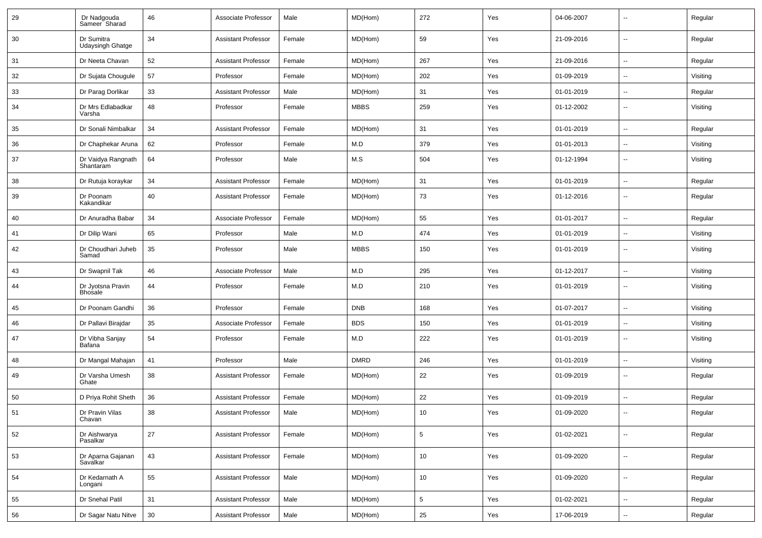| 29 | Dr Nadgouda<br>Sameer Sharad          | 46 | Associate Professor        | Male   | MD(Hom)     | 272        | Yes | 04-06-2007 | $\overline{a}$           | Regular  |
|----|---------------------------------------|----|----------------------------|--------|-------------|------------|-----|------------|--------------------------|----------|
| 30 | Dr Sumitra<br><b>Udaysingh Ghatge</b> | 34 | <b>Assistant Professor</b> | Female | MD(Hom)     | 59         | Yes | 21-09-2016 | $\sim$                   | Regular  |
| 31 | Dr Neeta Chavan                       | 52 | <b>Assistant Professor</b> | Female | MD(Hom)     | 267        | Yes | 21-09-2016 | $\overline{\phantom{a}}$ | Regular  |
| 32 | Dr Sujata Chougule                    | 57 | Professor                  | Female | MD(Hom)     | 202        | Yes | 01-09-2019 |                          | Visiting |
| 33 | Dr Parag Dorlikar                     | 33 | <b>Assistant Professor</b> | Male   | MD(Hom)     | 31         | Yes | 01-01-2019 | --                       | Regular  |
| 34 | Dr Mrs Edlabadkar<br>Varsha           | 48 | Professor                  | Female | <b>MBBS</b> | 259        | Yes | 01-12-2002 | --                       | Visiting |
| 35 | Dr Sonali Nimbalkar                   | 34 | <b>Assistant Professor</b> | Female | MD(Hom)     | 31         | Yes | 01-01-2019 | $\overline{a}$           | Regular  |
| 36 | Dr Chaphekar Aruna                    | 62 | Professor                  | Female | M.D         | 379        | Yes | 01-01-2013 | $\overline{a}$           | Visiting |
| 37 | Dr Vaidya Rangnath<br>Shantaram       | 64 | Professor                  | Male   | M.S         | 504        | Yes | 01-12-1994 | $\sim$                   | Visiting |
| 38 | Dr Rutuja koraykar                    | 34 | <b>Assistant Professor</b> | Female | MD(Hom)     | 31         | Yes | 01-01-2019 | $\sim$                   | Regular  |
| 39 | Dr Poonam<br>Kakandikar               | 40 | <b>Assistant Professor</b> | Female | MD(Hom)     | 73         | Yes | 01-12-2016 | $\sim$                   | Regular  |
| 40 | Dr Anuradha Babar                     | 34 | Associate Professor        | Female | MD(Hom)     | 55         | Yes | 01-01-2017 | $\overline{\phantom{a}}$ | Regular  |
| 41 | Dr Dilip Wani                         | 65 | Professor                  | Male   | M.D         | 474        | Yes | 01-01-2019 | --                       | Visiting |
| 42 | Dr Choudhari Juheb<br>Samad           | 35 | Professor                  | Male   | <b>MBBS</b> | 150        | Yes | 01-01-2019 | --                       | Visiting |
| 43 | Dr Swapnil Tak                        | 46 | Associate Professor        | Male   | M.D         | 295        | Yes | 01-12-2017 | Ξ.                       | Visiting |
| 44 | Dr Jyotsna Pravin<br>Bhosale          | 44 | Professor                  | Female | M.D         | 210        | Yes | 01-01-2019 | $\overline{a}$           | Visiting |
| 45 | Dr Poonam Gandhi                      | 36 | Professor                  | Female | <b>DNB</b>  | 168        | Yes | 01-07-2017 | $\sim$                   | Visiting |
| 46 | Dr Pallavi Birajdar                   | 35 | Associate Professor        | Female | <b>BDS</b>  | 150        | Yes | 01-01-2019 | --                       | Visiting |
| 47 | Dr Vibha Sanjay<br>Bafana             | 54 | Professor                  | Female | M.D         | 222        | Yes | 01-01-2019 | $\sim$                   | Visiting |
| 48 | Dr Mangal Mahajan                     | 41 | Professor                  | Male   | <b>DMRD</b> | 246        | Yes | 01-01-2019 | $\overline{\phantom{a}}$ | Visiting |
| 49 | Dr Varsha Umesh<br>Ghate              | 38 | <b>Assistant Professor</b> | Female | MD(Hom)     | 22         | Yes | 01-09-2019 | $\overline{\phantom{a}}$ | Regular  |
| 50 | D Priya Rohit Sheth                   | 36 | <b>Assistant Professor</b> | Female | MD(Hom)     | 22         | Yes | 01-09-2019 | $\overline{\phantom{a}}$ | Regular  |
| 51 | Dr Pravin Vilas<br>Chavan             | 38 | <b>Assistant Professor</b> | Male   | MD(Hom)     | 10         | Yes | 01-09-2020 |                          | Regular  |
| 52 | Dr Aishwarya<br>Pasalkar              | 27 | <b>Assistant Professor</b> | Female | MD(Hom)     | $\sqrt{5}$ | Yes | 01-02-2021 | Ξ.                       | Regular  |
| 53 | Dr Aparna Gajanan<br>Savalkar         | 43 | <b>Assistant Professor</b> | Female | MD(Hom)     | 10         | Yes | 01-09-2020 | Ξ.                       | Regular  |
| 54 | Dr Kedarnath A<br>Longani             | 55 | <b>Assistant Professor</b> | Male   | MD(Hom)     | 10         | Yes | 01-09-2020 | Ξ.                       | Regular  |
| 55 | Dr Snehal Patil                       | 31 | <b>Assistant Professor</b> | Male   | MD(Hom)     | 5          | Yes | 01-02-2021 | --                       | Regular  |
| 56 | Dr Sagar Natu Nitve                   | 30 | <b>Assistant Professor</b> | Male   | MD(Hom)     | 25         | Yes | 17-06-2019 | Ξ.                       | Regular  |